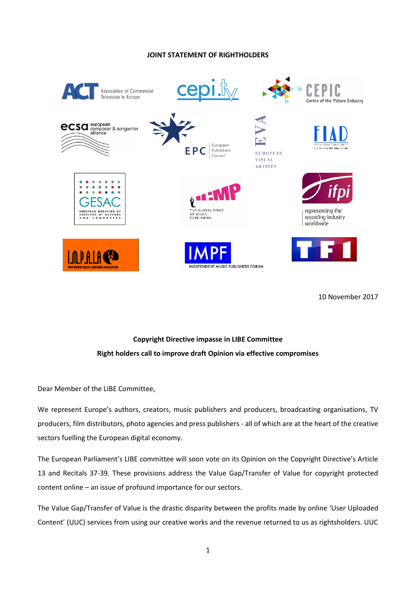## **JOINT STATEMENT OF RIGHTHOLDERS**



10 November 2017

# **Copyright Directive impasse in LIBE Committee Right holders call to improve draft Opinion via effective compromises**

Dear Member of the LIBE Committee,

We represent Europe's authors, creators, music publishers and producers, broadcasting organisations, TV producers, film distributors, photo agencies and press publishers - all of which are at the heart of the creative sectors fuelling the European digital economy.

The European Parliament's LIBE committee will soon vote on its Opinion on the Copyright Directive's Article 13 and Recitals 37-39. These provisions address the Value Gap/Transfer of Value for copyright protected content online – an issue of profound importance for our sectors.

The Value Gap/Transfer of Value is the drastic disparity between the profits made by online 'User Uploaded Content' (UUC) services from using our creative works and the revenue returned to us as rightsholders. UUC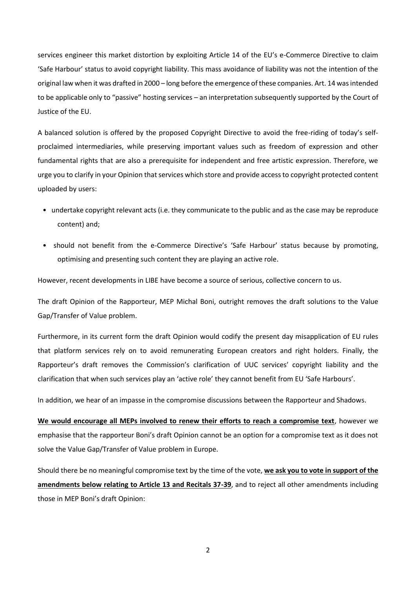services engineer this market distortion by exploiting Article 14 of the EU's e-Commerce Directive to claim 'Safe Harbour' status to avoid copyright liability. This mass avoidance of liability was not the intention of the original law when it was drafted in 2000 – long before the emergence of these companies. Art. 14 was intended to be applicable only to "passive" hosting services – an interpretation subsequently supported by the Court of Justice of the EU.

A balanced solution is offered by the proposed Copyright Directive to avoid the free-riding of today's selfproclaimed intermediaries, while preserving important values such as freedom of expression and other fundamental rights that are also a prerequisite for independent and free artistic expression. Therefore, we urge you to clarify in your Opinion that services which store and provide access to copyright protected content uploaded by users:

- undertake copyright relevant acts (i.e. they communicate to the public and as the case may be reproduce content) and;
- should not benefit from the e-Commerce Directive's 'Safe Harbour' status because by promoting, optimising and presenting such content they are playing an active role.

However, recent developments in LIBE have become a source of serious, collective concern to us.

The draft Opinion of the Rapporteur, MEP Michal Boni, outright removes the draft solutions to the Value Gap/Transfer of Value problem.

Furthermore, in its current form the draft Opinion would codify the present day misapplication of EU rules that platform services rely on to avoid remunerating European creators and right holders. Finally, the Rapporteur's draft removes the Commission's clarification of UUC services' copyright liability and the clarification that when such services play an 'active role' they cannot benefit from EU 'Safe Harbours'.

In addition, we hear of an impasse in the compromise discussions between the Rapporteur and Shadows.

**We would encourage all MEPs involved to renew their efforts to reach a compromise text**, however we emphasise that the rapporteur Boni's draft Opinion cannot be an option for a compromise text as it does not solve the Value Gap/Transfer of Value problem in Europe.

Should there be no meaningful compromise text by the time of the vote, **we ask you to vote in support of the amendments below relating to Article 13 and Recitals 37-39**, and to reject all other amendments including those in MEP Boni's draft Opinion:

2